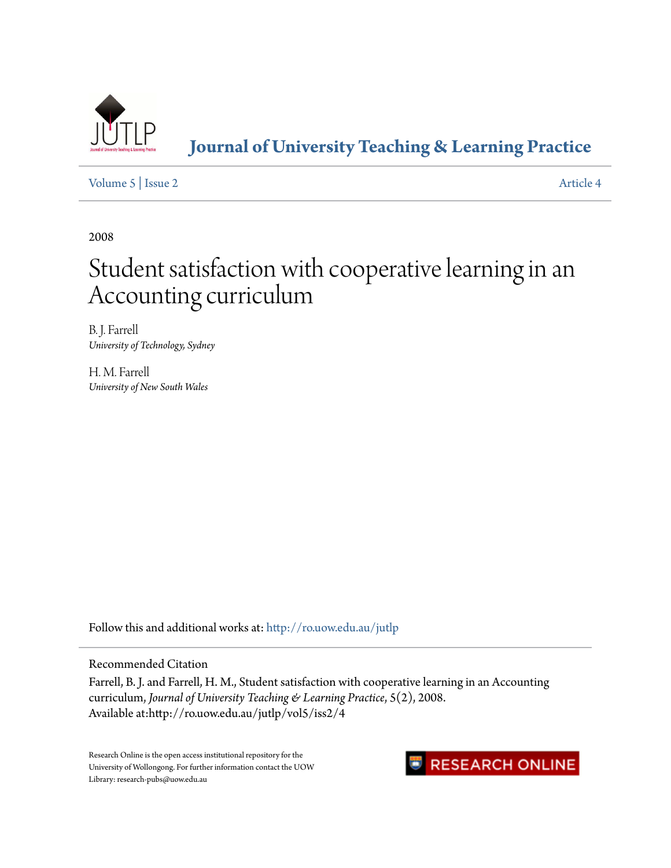

#### **[Journal of University Teaching & Learning Practice](http://ro.uow.edu.au/jutlp?utm_source=ro.uow.edu.au%2Fjutlp%2Fvol5%2Fiss2%2F4&utm_medium=PDF&utm_campaign=PDFCoverPages)**

[Volume 5](http://ro.uow.edu.au/jutlp/vol5?utm_source=ro.uow.edu.au%2Fjutlp%2Fvol5%2Fiss2%2F4&utm_medium=PDF&utm_campaign=PDFCoverPages) | [Issue 2](http://ro.uow.edu.au/jutlp/vol5/iss2?utm_source=ro.uow.edu.au%2Fjutlp%2Fvol5%2Fiss2%2F4&utm_medium=PDF&utm_campaign=PDFCoverPages) [Article 4](http://ro.uow.edu.au/jutlp/vol5/iss2/4?utm_source=ro.uow.edu.au%2Fjutlp%2Fvol5%2Fiss2%2F4&utm_medium=PDF&utm_campaign=PDFCoverPages)

2008

## Student satisfaction with cooperative learning in an Accounting curriculum

B. J. Farrell *University of Technology, Sydney*

H. M. Farrell *University of New South Wales*

Follow this and additional works at: [http://ro.uow.edu.au/jutlp](http://ro.uow.edu.au/jutlp?utm_source=ro.uow.edu.au%2Fjutlp%2Fvol5%2Fiss2%2F4&utm_medium=PDF&utm_campaign=PDFCoverPages)

Recommended Citation

Farrell, B. J. and Farrell, H. M., Student satisfaction with cooperative learning in an Accounting curriculum, *Journal of University Teaching & Learning Practice*, 5(2), 2008. Available at:http://ro.uow.edu.au/jutlp/vol5/iss2/4

Research Online is the open access institutional repository for the University of Wollongong. For further information contact the UOW Library: research-pubs@uow.edu.au

### **RESEARCH ONLINE**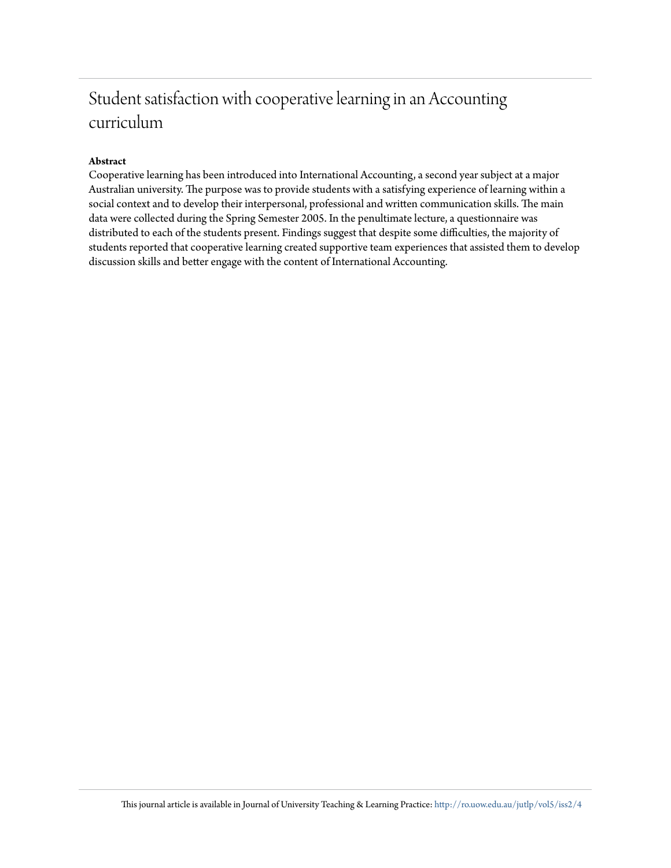### Student satisfaction with cooperative learning in an Accounting curriculum

#### **Abstract**

Cooperative learning has been introduced into International Accounting, a second year subject at a major Australian university. The purpose was to provide students with a satisfying experience of learning within a social context and to develop their interpersonal, professional and written communication skills. The main data were collected during the Spring Semester 2005. In the penultimate lecture, a questionnaire was distributed to each of the students present. Findings suggest that despite some difficulties, the majority of students reported that cooperative learning created supportive team experiences that assisted them to develop discussion skills and better engage with the content of International Accounting.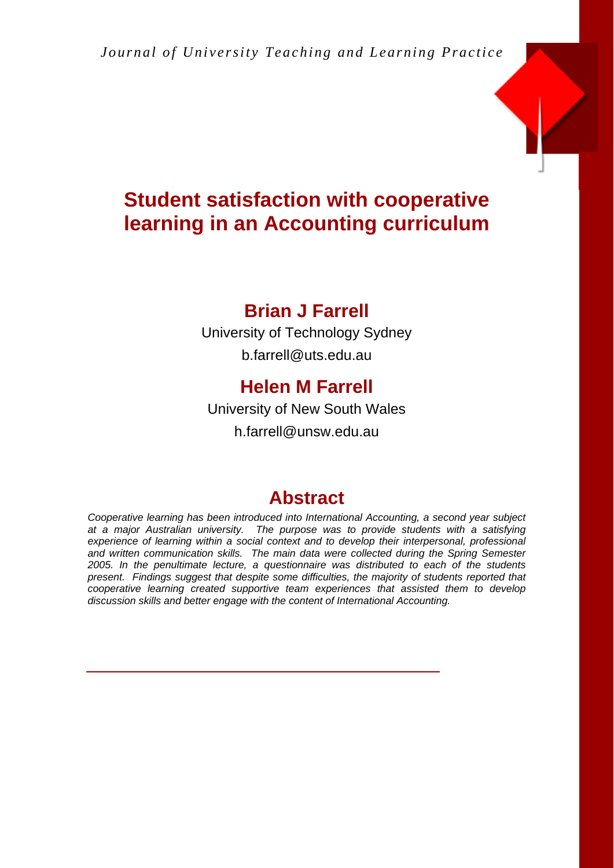

### **Student satisfaction with cooperative learning in an Accounting curriculum**

### **Brian J Farrell**

University of Technology Sydney b.farrell@uts.edu.au

### **Helen M Farrell**

University of New South Wales

h.farrell@unsw.edu.au

### **Abstract**

*Cooperative learning has been introduced into International Accounting, a second year subject at a major Australian university. The purpose was to provide students with a satisfying experience of learning within a social context and to develop their interpersonal, professional and written communication skills. The main data were collected during the Spring Semester 2005. In the penultimate lecture, a questionnaire was distributed to each of the students present. Findings suggest that despite some difficulties, the majority of students reported that cooperative learning created supportive team experiences that assisted them to develop discussion skills and better engage with the content of International Accounting.*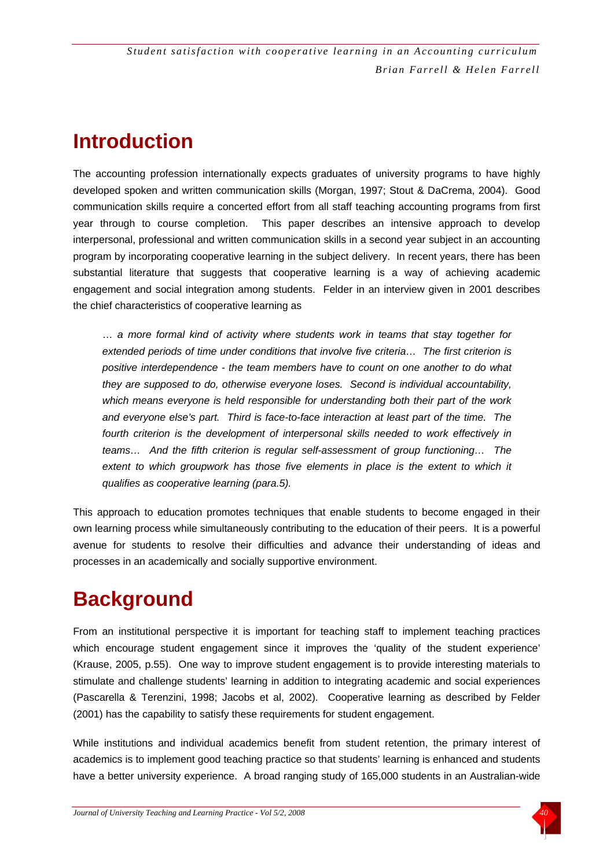### **Introduction**

The accounting profession internationally expects graduates of university programs to have highly developed spoken and written communication skills (Morgan, 1997; Stout & DaCrema, 2004). Good communication skills require a concerted effort from all staff teaching accounting programs from first year through to course completion. This paper describes an intensive approach to develop interpersonal, professional and written communication skills in a second year subject in an accounting program by incorporating cooperative learning in the subject delivery. In recent years, there has been substantial literature that suggests that cooperative learning is a way of achieving academic engagement and social integration among students. Felder in an interview given in 2001 describes the chief characteristics of cooperative learning as

 … *a more formal kind of activity where students work in teams that stay together for extended periods of time under conditions that involve five criteria… The first criterion is positive interdependence - the team members have to count on one another to do what they are supposed to do, otherwise everyone loses. Second is individual accountability, which means everyone is held responsible for understanding both their part of the work and everyone else's part. Third is face-to-face interaction at least part of the time. The fourth criterion is the development of interpersonal skills needed to work effectively in teams… And the fifth criterion is regular self-assessment of group functioning… The*  extent to which groupwork has those five elements in place is the extent to which it *qualifies as cooperative learning (para.5).* 

This approach to education promotes techniques that enable students to become engaged in their own learning process while simultaneously contributing to the education of their peers. It is a powerful avenue for students to resolve their difficulties and advance their understanding of ideas and processes in an academically and socially supportive environment.

### **Background**

From an institutional perspective it is important for teaching staff to implement teaching practices which encourage student engagement since it improves the 'quality of the student experience' (Krause, 2005, p.55). One way to improve student engagement is to provide interesting materials to stimulate and challenge students' learning in addition to integrating academic and social experiences (Pascarella & Terenzini, 1998; Jacobs et al, 2002). Cooperative learning as described by Felder (2001) has the capability to satisfy these requirements for student engagement.

While institutions and individual academics benefit from student retention, the primary interest of academics is to implement good teaching practice so that students' learning is enhanced and students have a better university experience. A broad ranging study of 165,000 students in an Australian-wide

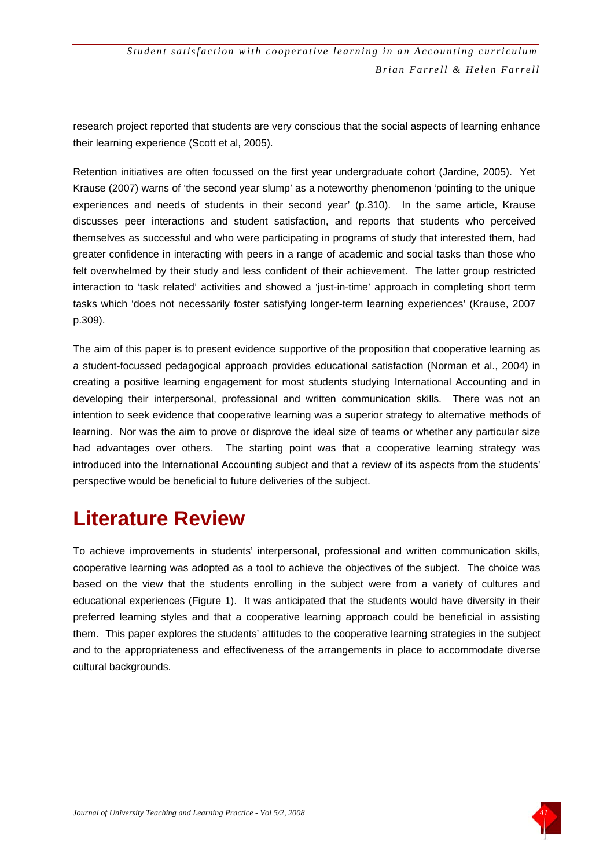research project reported that students are very conscious that the social aspects of learning enhance their learning experience (Scott et al, 2005).

Retention initiatives are often focussed on the first year undergraduate cohort (Jardine, 2005). Yet Krause (2007) warns of 'the second year slump' as a noteworthy phenomenon 'pointing to the unique experiences and needs of students in their second year' (p.310). In the same article, Krause discusses peer interactions and student satisfaction, and reports that students who perceived themselves as successful and who were participating in programs of study that interested them, had greater confidence in interacting with peers in a range of academic and social tasks than those who felt overwhelmed by their study and less confident of their achievement. The latter group restricted interaction to 'task related' activities and showed a 'just-in-time' approach in completing short term tasks which 'does not necessarily foster satisfying longer-term learning experiences' (Krause, 2007 p.309).

The aim of this paper is to present evidence supportive of the proposition that cooperative learning as a student-focussed pedagogical approach provides educational satisfaction (Norman et al., 2004) in creating a positive learning engagement for most students studying International Accounting and in developing their interpersonal, professional and written communication skills. There was not an intention to seek evidence that cooperative learning was a superior strategy to alternative methods of learning. Nor was the aim to prove or disprove the ideal size of teams or whether any particular size had advantages over others. The starting point was that a cooperative learning strategy was introduced into the International Accounting subject and that a review of its aspects from the students' perspective would be beneficial to future deliveries of the subject.

### **Literature Review**

To achieve improvements in students' interpersonal, professional and written communication skills, cooperative learning was adopted as a tool to achieve the objectives of the subject. The choice was based on the view that the students enrolling in the subject were from a variety of cultures and educational experiences (Figure 1). It was anticipated that the students would have diversity in their preferred learning styles and that a cooperative learning approach could be beneficial in assisting them. This paper explores the students' attitudes to the cooperative learning strategies in the subject and to the appropriateness and effectiveness of the arrangements in place to accommodate diverse cultural backgrounds.

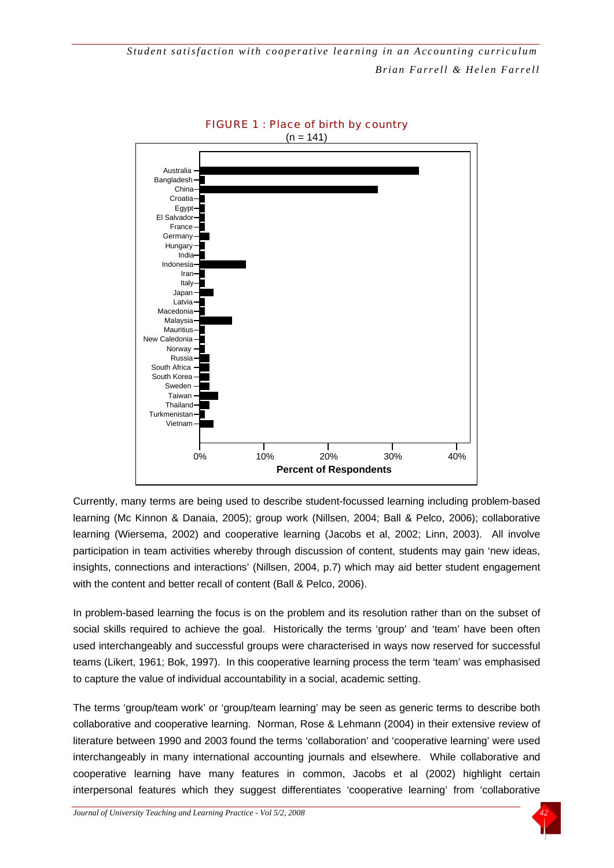



Currently, many terms are being used to describe student-focussed learning including problem-based learning (Mc Kinnon & Danaia, 2005); group work (Nillsen, 2004; Ball & Pelco, 2006); collaborative learning (Wiersema, 2002) and cooperative learning (Jacobs et al, 2002; Linn, 2003). All involve participation in team activities whereby through discussion of content, students may gain 'new ideas, insights, connections and interactions' (Nillsen, 2004, p.7) which may aid better student engagement with the content and better recall of content (Ball & Pelco, 2006).

In problem-based learning the focus is on the problem and its resolution rather than on the subset of social skills required to achieve the goal. Historically the terms 'group' and 'team' have been often used interchangeably and successful groups were characterised in ways now reserved for successful teams (Likert, 1961; Bok, 1997). In this cooperative learning process the term 'team' was emphasised to capture the value of individual accountability in a social, academic setting.

The terms 'group/team work' or 'group/team learning' may be seen as generic terms to describe both collaborative and cooperative learning. Norman, Rose & Lehmann (2004) in their extensive review of literature between 1990 and 2003 found the terms 'collaboration' and 'cooperative learning' were used interchangeably in many international accounting journals and elsewhere. While collaborative and cooperative learning have many features in common, Jacobs et al (2002) highlight certain interpersonal features which they suggest differentiates 'cooperative learning' from 'collaborative

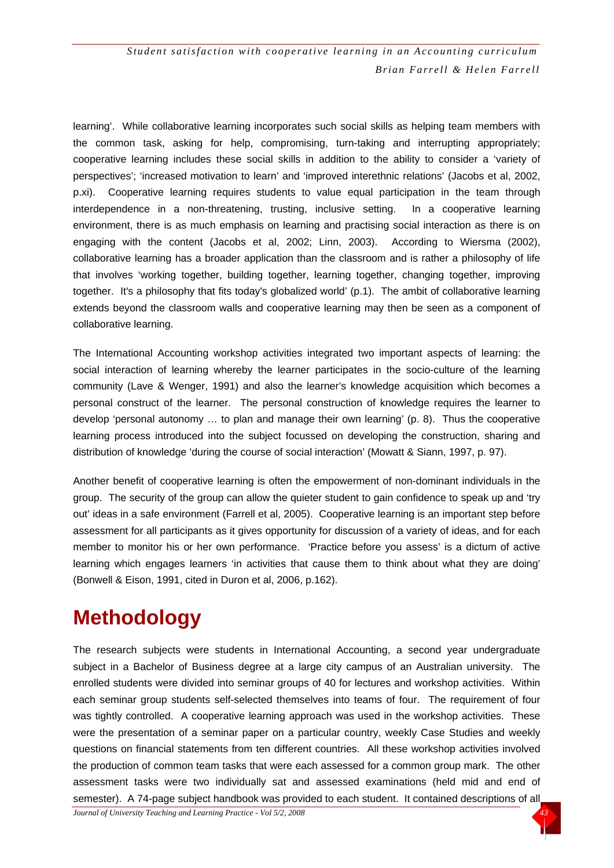learning'. While collaborative learning incorporates such social skills as helping team members with the common task, asking for help, compromising, turn-taking and interrupting appropriately; cooperative learning includes these social skills in addition to the ability to consider a 'variety of perspectives'; 'increased motivation to learn' and 'improved interethnic relations' (Jacobs et al, 2002, p.xi). Cooperative learning requires students to value equal participation in the team through interdependence in a non-threatening, trusting, inclusive setting. In a cooperative learning environment, there is as much emphasis on learning and practising social interaction as there is on engaging with the content (Jacobs et al, 2002; Linn, 2003). According to Wiersma (2002), collaborative learning has a broader application than the classroom and is rather a philosophy of life that involves 'working together, building together, learning together, changing together, improving together. It's a philosophy that fits today's globalized world' (p.1). The ambit of collaborative learning extends beyond the classroom walls and cooperative learning may then be seen as a component of collaborative learning.

The International Accounting workshop activities integrated two important aspects of learning: the social interaction of learning whereby the learner participates in the socio-culture of the learning community (Lave & Wenger, 1991) and also the learner's knowledge acquisition which becomes a personal construct of the learner. The personal construction of knowledge requires the learner to develop 'personal autonomy … to plan and manage their own learning' (p. 8). Thus the cooperative learning process introduced into the subject focussed on developing the construction, sharing and distribution of knowledge 'during the course of social interaction' (Mowatt & Siann, 1997, p. 97).

Another benefit of cooperative learning is often the empowerment of non-dominant individuals in the group. The security of the group can allow the quieter student to gain confidence to speak up and 'try out' ideas in a safe environment (Farrell et al, 2005). Cooperative learning is an important step before assessment for all participants as it gives opportunity for discussion of a variety of ideas, and for each member to monitor his or her own performance. 'Practice before you assess' is a dictum of active learning which engages learners 'in activities that cause them to think about what they are doing' (Bonwell & Eison, 1991, cited in Duron et al, 2006, p.162).

### **Methodology**

The research subjects were students in International Accounting, a second year undergraduate subject in a Bachelor of Business degree at a large city campus of an Australian university. The enrolled students were divided into seminar groups of 40 for lectures and workshop activities. Within each seminar group students self-selected themselves into teams of four. The requirement of four was tightly controlled. A cooperative learning approach was used in the workshop activities. These were the presentation of a seminar paper on a particular country, weekly Case Studies and weekly questions on financial statements from ten different countries. All these workshop activities involved the production of common team tasks that were each assessed for a common group mark. The other assessment tasks were two individually sat and assessed examinations (held mid and end of semester). A 74-page subject handbook was provided to each student. It contained descriptions of all

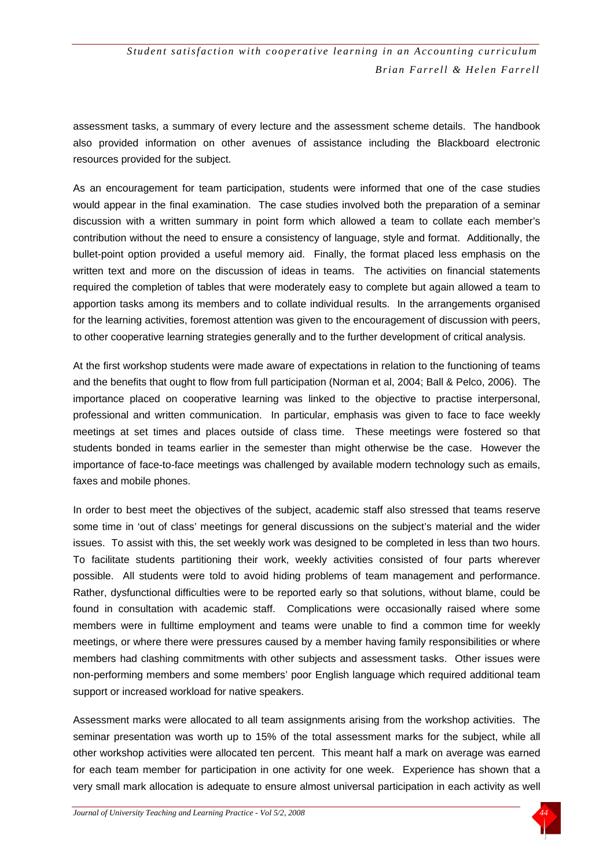assessment tasks, a summary of every lecture and the assessment scheme details. The handbook also provided information on other avenues of assistance including the Blackboard electronic resources provided for the subject.

As an encouragement for team participation, students were informed that one of the case studies would appear in the final examination. The case studies involved both the preparation of a seminar discussion with a written summary in point form which allowed a team to collate each member's contribution without the need to ensure a consistency of language, style and format. Additionally, the bullet-point option provided a useful memory aid. Finally, the format placed less emphasis on the written text and more on the discussion of ideas in teams. The activities on financial statements required the completion of tables that were moderately easy to complete but again allowed a team to apportion tasks among its members and to collate individual results. In the arrangements organised for the learning activities, foremost attention was given to the encouragement of discussion with peers, to other cooperative learning strategies generally and to the further development of critical analysis.

At the first workshop students were made aware of expectations in relation to the functioning of teams and the benefits that ought to flow from full participation (Norman et al, 2004; Ball & Pelco, 2006). The importance placed on cooperative learning was linked to the objective to practise interpersonal, professional and written communication. In particular, emphasis was given to face to face weekly meetings at set times and places outside of class time. These meetings were fostered so that students bonded in teams earlier in the semester than might otherwise be the case. However the importance of face-to-face meetings was challenged by available modern technology such as emails, faxes and mobile phones.

In order to best meet the objectives of the subject, academic staff also stressed that teams reserve some time in 'out of class' meetings for general discussions on the subject's material and the wider issues. To assist with this, the set weekly work was designed to be completed in less than two hours. To facilitate students partitioning their work, weekly activities consisted of four parts wherever possible. All students were told to avoid hiding problems of team management and performance. Rather, dysfunctional difficulties were to be reported early so that solutions, without blame, could be found in consultation with academic staff. Complications were occasionally raised where some members were in fulltime employment and teams were unable to find a common time for weekly meetings, or where there were pressures caused by a member having family responsibilities or where members had clashing commitments with other subjects and assessment tasks. Other issues were non-performing members and some members' poor English language which required additional team support or increased workload for native speakers.

Assessment marks were allocated to all team assignments arising from the workshop activities. The seminar presentation was worth up to 15% of the total assessment marks for the subject, while all other workshop activities were allocated ten percent. This meant half a mark on average was earned for each team member for participation in one activity for one week. Experience has shown that a very small mark allocation is adequate to ensure almost universal participation in each activity as well

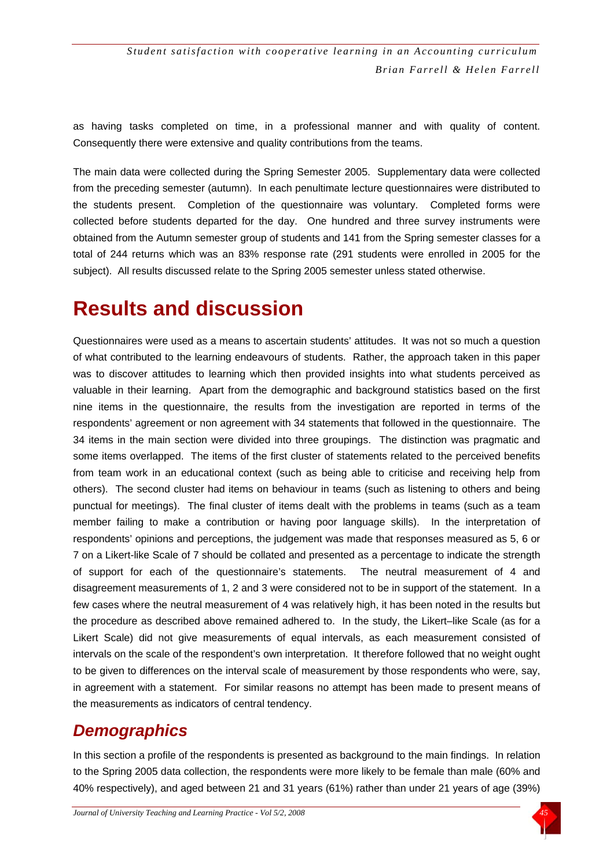as having tasks completed on time, in a professional manner and with quality of content. Consequently there were extensive and quality contributions from the teams.

The main data were collected during the Spring Semester 2005. Supplementary data were collected from the preceding semester (autumn). In each penultimate lecture questionnaires were distributed to the students present. Completion of the questionnaire was voluntary. Completed forms were collected before students departed for the day. One hundred and three survey instruments were obtained from the Autumn semester group of students and 141 from the Spring semester classes for a total of 244 returns which was an 83% response rate (291 students were enrolled in 2005 for the subject). All results discussed relate to the Spring 2005 semester unless stated otherwise.

### **Results and discussion**

Questionnaires were used as a means to ascertain students' attitudes. It was not so much a question of what contributed to the learning endeavours of students. Rather, the approach taken in this paper was to discover attitudes to learning which then provided insights into what students perceived as valuable in their learning. Apart from the demographic and background statistics based on the first nine items in the questionnaire, the results from the investigation are reported in terms of the respondents' agreement or non agreement with 34 statements that followed in the questionnaire. The 34 items in the main section were divided into three groupings. The distinction was pragmatic and some items overlapped. The items of the first cluster of statements related to the perceived benefits from team work in an educational context (such as being able to criticise and receiving help from others). The second cluster had items on behaviour in teams (such as listening to others and being punctual for meetings). The final cluster of items dealt with the problems in teams (such as a team member failing to make a contribution or having poor language skills). In the interpretation of respondents' opinions and perceptions, the judgement was made that responses measured as 5, 6 or 7 on a Likert-like Scale of 7 should be collated and presented as a percentage to indicate the strength of support for each of the questionnaire's statements. The neutral measurement of 4 and disagreement measurements of 1, 2 and 3 were considered not to be in support of the statement. In a few cases where the neutral measurement of 4 was relatively high, it has been noted in the results but the procedure as described above remained adhered to. In the study, the Likert–like Scale (as for a Likert Scale) did not give measurements of equal intervals, as each measurement consisted of intervals on the scale of the respondent's own interpretation. It therefore followed that no weight ought to be given to differences on the interval scale of measurement by those respondents who were, say, in agreement with a statement. For similar reasons no attempt has been made to present means of the measurements as indicators of central tendency.

#### *Demographics*

In this section a profile of the respondents is presented as background to the main findings. In relation to the Spring 2005 data collection, the respondents were more likely to be female than male (60% and 40% respectively), and aged between 21 and 31 years (61%) rather than under 21 years of age (39%)

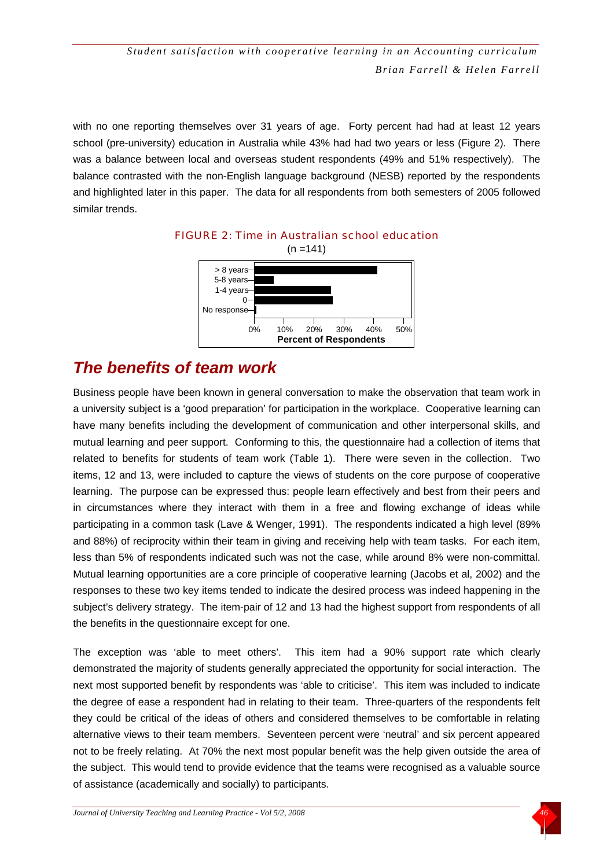with no one reporting themselves over 31 years of age. Forty percent had had at least 12 years school (pre-university) education in Australia while 43% had had two years or less (Figure 2). There was a balance between local and overseas student respondents (49% and 51% respectively). The balance contrasted with the non-English language background (NESB) reported by the respondents and highlighted later in this paper. The data for all respondents from both semesters of 2005 followed similar trends.



# FIGURE 2: Time in Australian school education

#### *The benefits of team work*

Business people have been known in general conversation to make the observation that team work in a university subject is a 'good preparation' for participation in the workplace. Cooperative learning can have many benefits including the development of communication and other interpersonal skills, and mutual learning and peer support. Conforming to this, the questionnaire had a collection of items that related to benefits for students of team work (Table 1). There were seven in the collection. Two items, 12 and 13, were included to capture the views of students on the core purpose of cooperative learning. The purpose can be expressed thus: people learn effectively and best from their peers and in circumstances where they interact with them in a free and flowing exchange of ideas while participating in a common task (Lave & Wenger, 1991). The respondents indicated a high level (89% and 88%) of reciprocity within their team in giving and receiving help with team tasks. For each item, less than 5% of respondents indicated such was not the case, while around 8% were non-committal. Mutual learning opportunities are a core principle of cooperative learning (Jacobs et al, 2002) and the responses to these two key items tended to indicate the desired process was indeed happening in the subject's delivery strategy. The item-pair of 12 and 13 had the highest support from respondents of all the benefits in the questionnaire except for one.

The exception was 'able to meet others'. This item had a 90% support rate which clearly demonstrated the majority of students generally appreciated the opportunity for social interaction. The next most supported benefit by respondents was 'able to criticise'. This item was included to indicate the degree of ease a respondent had in relating to their team. Three-quarters of the respondents felt they could be critical of the ideas of others and considered themselves to be comfortable in relating alternative views to their team members. Seventeen percent were 'neutral' and six percent appeared not to be freely relating. At 70% the next most popular benefit was the help given outside the area of the subject. This would tend to provide evidence that the teams were recognised as a valuable source of assistance (academically and socially) to participants.

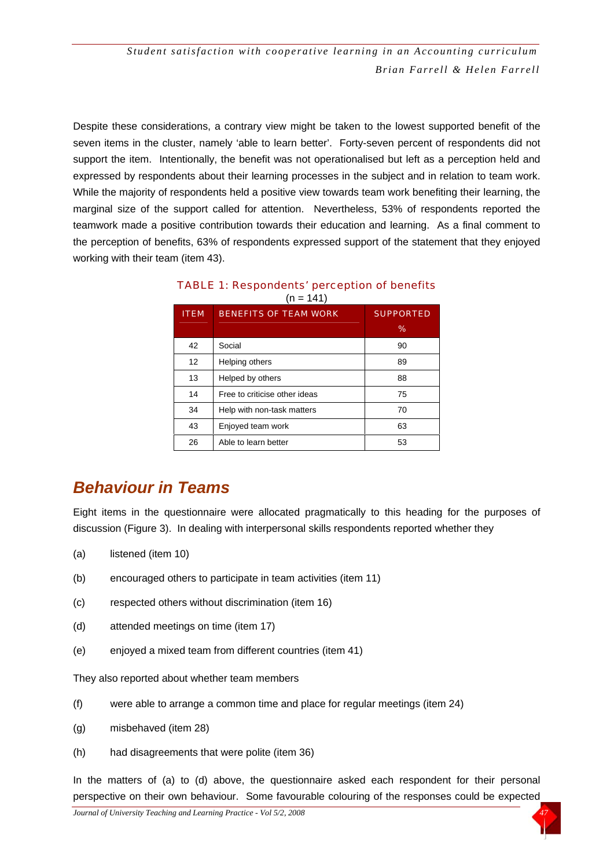Despite these considerations, a contrary view might be taken to the lowest supported benefit of the seven items in the cluster, namely 'able to learn better'. Forty-seven percent of respondents did not support the item. Intentionally, the benefit was not operationalised but left as a perception held and expressed by respondents about their learning processes in the subject and in relation to team work. While the majority of respondents held a positive view towards team work benefiting their learning, the marginal size of the support called for attention. Nevertheless, 53% of respondents reported the teamwork made a positive contribution towards their education and learning. As a final comment to the perception of benefits, 63% of respondents expressed support of the statement that they enjoyed working with their team (item 43).

| <b>ITEM</b>       | <b>BENEFITS OF TEAM WORK</b>  | <b>SUPPORTED</b><br>$\%$ |
|-------------------|-------------------------------|--------------------------|
| 42                | Social                        | 90                       |
| $12 \overline{ }$ | Helping others                | 89                       |
| 13                | Helped by others              | 88                       |
| 14                | Free to criticise other ideas | 75                       |
| 34                | Help with non-task matters    | 70                       |
| 43                | Enjoyed team work             | 63                       |
| 26                | Able to learn better          | 53                       |

| <b>TABLE 1: Respondents' perception of benefits</b> |             |  |
|-----------------------------------------------------|-------------|--|
|                                                     | $(n = 141)$ |  |

#### *Behaviour in Teams*

Eight items in the questionnaire were allocated pragmatically to this heading for the purposes of discussion (Figure 3). In dealing with interpersonal skills respondents reported whether they

- (a) listened (item 10)
- (b) encouraged others to participate in team activities (item 11)
- (c) respected others without discrimination (item 16)
- (d) attended meetings on time (item 17)
- (e) enjoyed a mixed team from different countries (item 41)

They also reported about whether team members

- (f) were able to arrange a common time and place for regular meetings (item 24)
- (g) misbehaved (item 28)
- (h) had disagreements that were polite (item 36)

In the matters of (a) to (d) above, the questionnaire asked each respondent for their personal perspective on their own behaviour. Some favourable colouring of the responses could be expected

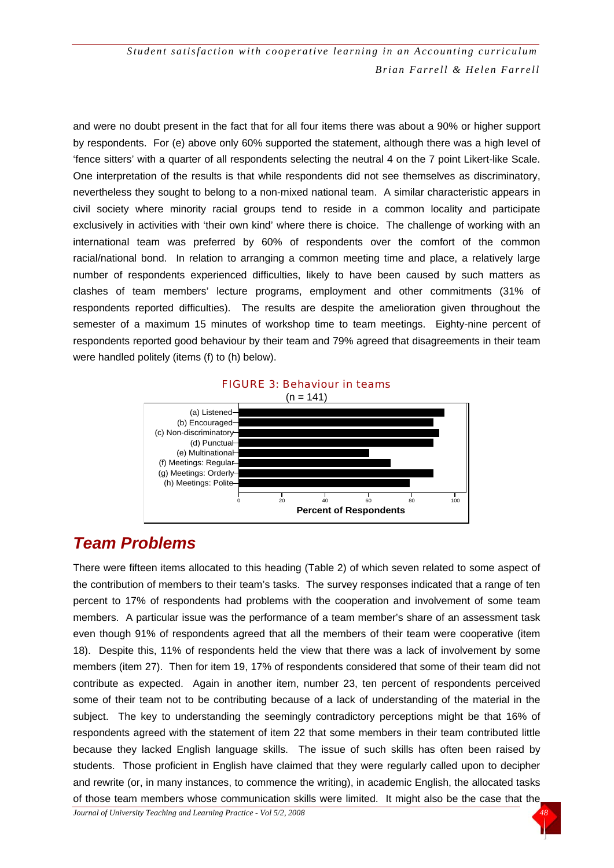and were no doubt present in the fact that for all four items there was about a 90% or higher support by respondents. For (e) above only 60% supported the statement, although there was a high level of 'fence sitters' with a quarter of all respondents selecting the neutral 4 on the 7 point Likert-like Scale. One interpretation of the results is that while respondents did not see themselves as discriminatory, nevertheless they sought to belong to a non-mixed national team. A similar characteristic appears in civil society where minority racial groups tend to reside in a common locality and participate exclusively in activities with 'their own kind' where there is choice. The challenge of working with an international team was preferred by 60% of respondents over the comfort of the common racial/national bond. In relation to arranging a common meeting time and place, a relatively large number of respondents experienced difficulties, likely to have been caused by such matters as clashes of team members' lecture programs, employment and other commitments (31% of respondents reported difficulties). The results are despite the amelioration given throughout the semester of a maximum 15 minutes of workshop time to team meetings. Eighty-nine percent of respondents reported good behaviour by their team and 79% agreed that disagreements in their team were handled politely (items (f) to (h) below).



#### FIGURE 3: Behaviour in teams

#### *Team Problems*

There were fifteen items allocated to this heading (Table 2) of which seven related to some aspect of the contribution of members to their team's tasks. The survey responses indicated that a range of ten percent to 17% of respondents had problems with the cooperation and involvement of some team members. A particular issue was the performance of a team member's share of an assessment task even though 91% of respondents agreed that all the members of their team were cooperative (item 18). Despite this, 11% of respondents held the view that there was a lack of involvement by some members (item 27). Then for item 19, 17% of respondents considered that some of their team did not contribute as expected. Again in another item, number 23, ten percent of respondents perceived some of their team not to be contributing because of a lack of understanding of the material in the subject. The key to understanding the seemingly contradictory perceptions might be that 16% of respondents agreed with the statement of item 22 that some members in their team contributed little because they lacked English language skills. The issue of such skills has often been raised by students. Those proficient in English have claimed that they were regularly called upon to decipher and rewrite (or, in many instances, to commence the writing), in academic English, the allocated tasks of those team members whose communication skills were limited. It might also be the case that the

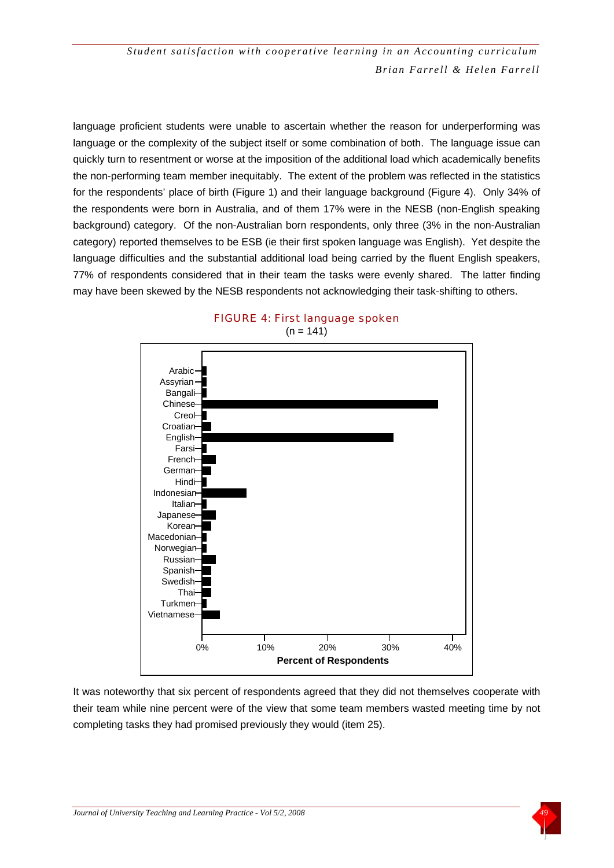language proficient students were unable to ascertain whether the reason for underperforming was language or the complexity of the subject itself or some combination of both. The language issue can quickly turn to resentment or worse at the imposition of the additional load which academically benefits the non-performing team member inequitably. The extent of the problem was reflected in the statistics for the respondents' place of birth (Figure 1) and their language background (Figure 4). Only 34% of the respondents were born in Australia, and of them 17% were in the NESB (non-English speaking background) category. Of the non-Australian born respondents, only three (3% in the non-Australian category) reported themselves to be ESB (ie their first spoken language was English). Yet despite the language difficulties and the substantial additional load being carried by the fluent English speakers, 77% of respondents considered that in their team the tasks were evenly shared. The latter finding may have been skewed by the NESB respondents not acknowledging their task-shifting to others.





It was noteworthy that six percent of respondents agreed that they did not themselves cooperate with their team while nine percent were of the view that some team members wasted meeting time by not completing tasks they had promised previously they would (item 25).

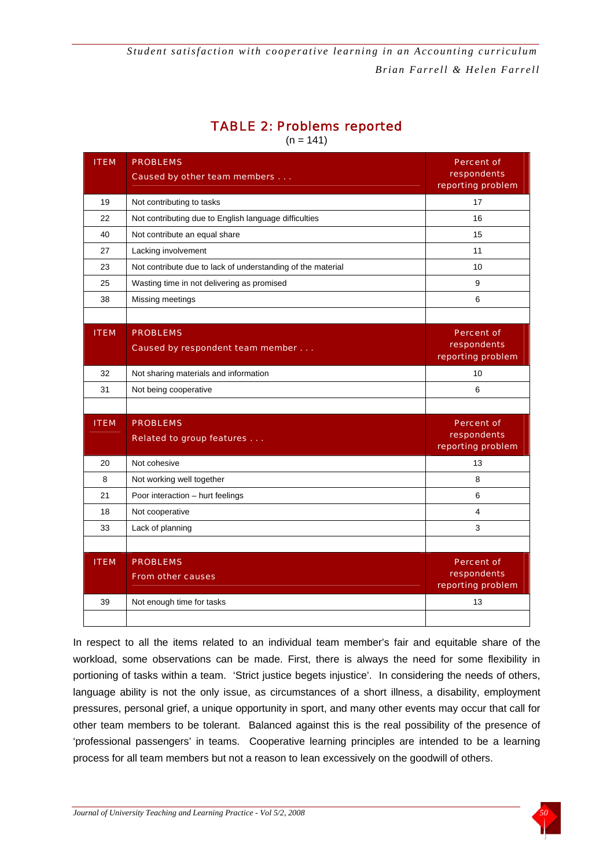#### TABLE 2: Problems reported

 $(n = 141)$ 

| <b>ITEM</b> | <b>PROBLEMS</b><br>Caused by other team members             | <b>Percent of</b><br>respondents<br>reporting problem |
|-------------|-------------------------------------------------------------|-------------------------------------------------------|
| 19          | Not contributing to tasks                                   | 17                                                    |
| 22          | Not contributing due to English language difficulties       | 16                                                    |
| 40          | Not contribute an equal share                               | 15                                                    |
| 27          | Lacking involvement                                         | 11                                                    |
| 23          | Not contribute due to lack of understanding of the material | 10                                                    |
| 25          | Wasting time in not delivering as promised                  | 9                                                     |
| 38          | Missing meetings                                            | 6                                                     |
|             |                                                             |                                                       |
| <b>ITEM</b> | <b>PROBLEMS</b><br>Caused by respondent team member         | <b>Percent of</b><br>respondents<br>reporting problem |
| 32          |                                                             | 10                                                    |
| 31          | Not sharing materials and information                       | 6                                                     |
|             | Not being cooperative                                       |                                                       |
|             |                                                             |                                                       |
| <b>ITEM</b> | <b>PROBLEMS</b><br><b>Related to group features</b>         | <b>Percent of</b><br>respondents<br>reporting problem |
| 20          | Not cohesive                                                | 13                                                    |
| 8           | Not working well together                                   | 8                                                     |
| 21          | Poor interaction - hurt feelings                            | 6                                                     |
| 18          | Not cooperative                                             | 4                                                     |
| 33          | Lack of planning                                            | 3                                                     |
|             |                                                             |                                                       |
| <b>ITEM</b> | <b>PROBLEMS</b><br><b>From other causes</b>                 | <b>Percent of</b><br>respondents<br>reporting problem |
| 39          | Not enough time for tasks                                   | 13                                                    |
|             |                                                             |                                                       |

In respect to all the items related to an individual team member's fair and equitable share of the workload, some observations can be made. First, there is always the need for some flexibility in portioning of tasks within a team. 'Strict justice begets injustice'. In considering the needs of others, language ability is not the only issue, as circumstances of a short illness, a disability, employment pressures, personal grief, a unique opportunity in sport, and many other events may occur that call for other team members to be tolerant. Balanced against this is the real possibility of the presence of 'professional passengers' in teams. Cooperative learning principles are intended to be a learning process for all team members but not a reason to lean excessively on the goodwill of others.

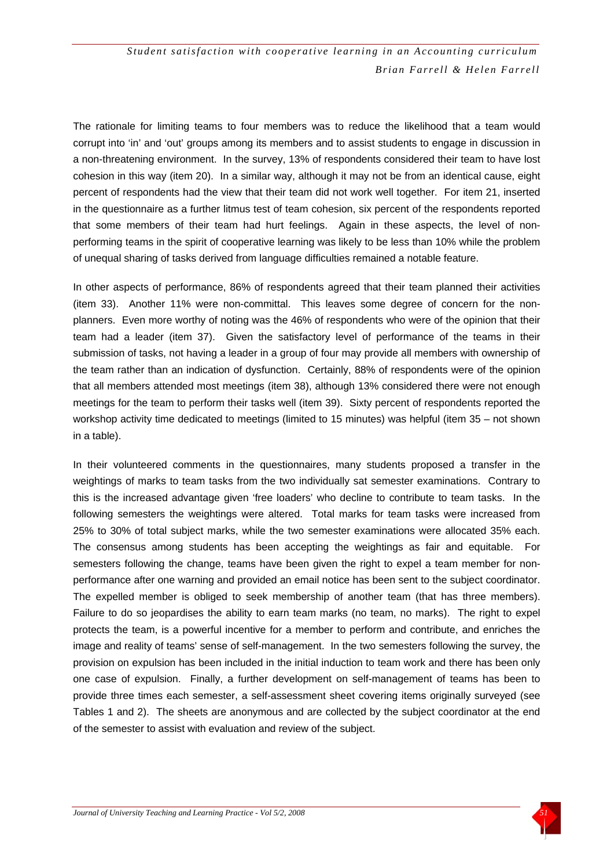The rationale for limiting teams to four members was to reduce the likelihood that a team would corrupt into 'in' and 'out' groups among its members and to assist students to engage in discussion in a non-threatening environment. In the survey, 13% of respondents considered their team to have lost cohesion in this way (item 20). In a similar way, although it may not be from an identical cause, eight percent of respondents had the view that their team did not work well together. For item 21, inserted in the questionnaire as a further litmus test of team cohesion, six percent of the respondents reported that some members of their team had hurt feelings. Again in these aspects, the level of nonperforming teams in the spirit of cooperative learning was likely to be less than 10% while the problem of unequal sharing of tasks derived from language difficulties remained a notable feature.

In other aspects of performance, 86% of respondents agreed that their team planned their activities (item 33). Another 11% were non-committal. This leaves some degree of concern for the nonplanners. Even more worthy of noting was the 46% of respondents who were of the opinion that their team had a leader (item 37). Given the satisfactory level of performance of the teams in their submission of tasks, not having a leader in a group of four may provide all members with ownership of the team rather than an indication of dysfunction. Certainly, 88% of respondents were of the opinion that all members attended most meetings (item 38), although 13% considered there were not enough meetings for the team to perform their tasks well (item 39). Sixty percent of respondents reported the workshop activity time dedicated to meetings (limited to 15 minutes) was helpful (item 35 – not shown in a table).

In their volunteered comments in the questionnaires, many students proposed a transfer in the weightings of marks to team tasks from the two individually sat semester examinations. Contrary to this is the increased advantage given 'free loaders' who decline to contribute to team tasks. In the following semesters the weightings were altered. Total marks for team tasks were increased from 25% to 30% of total subject marks, while the two semester examinations were allocated 35% each. The consensus among students has been accepting the weightings as fair and equitable. For semesters following the change, teams have been given the right to expel a team member for nonperformance after one warning and provided an email notice has been sent to the subject coordinator. The expelled member is obliged to seek membership of another team (that has three members). Failure to do so jeopardises the ability to earn team marks (no team, no marks). The right to expel protects the team, is a powerful incentive for a member to perform and contribute, and enriches the image and reality of teams' sense of self-management. In the two semesters following the survey, the provision on expulsion has been included in the initial induction to team work and there has been only one case of expulsion. Finally, a further development on self-management of teams has been to provide three times each semester, a self-assessment sheet covering items originally surveyed (see Tables 1 and 2). The sheets are anonymous and are collected by the subject coordinator at the end of the semester to assist with evaluation and review of the subject.

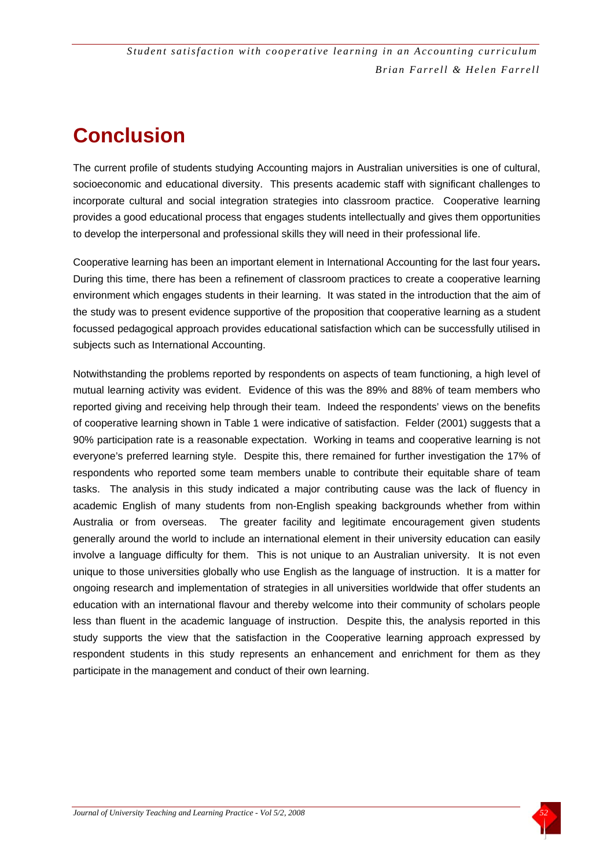## **Conclusion**

The current profile of students studying Accounting majors in Australian universities is one of cultural, socioeconomic and educational diversity. This presents academic staff with significant challenges to incorporate cultural and social integration strategies into classroom practice. Cooperative learning provides a good educational process that engages students intellectually and gives them opportunities to develop the interpersonal and professional skills they will need in their professional life.

Cooperative learning has been an important element in International Accounting for the last four years**.** During this time, there has been a refinement of classroom practices to create a cooperative learning environment which engages students in their learning. It was stated in the introduction that the aim of the study was to present evidence supportive of the proposition that cooperative learning as a student focussed pedagogical approach provides educational satisfaction which can be successfully utilised in subjects such as International Accounting.

Notwithstanding the problems reported by respondents on aspects of team functioning, a high level of mutual learning activity was evident. Evidence of this was the 89% and 88% of team members who reported giving and receiving help through their team. Indeed the respondents' views on the benefits of cooperative learning shown in Table 1 were indicative of satisfaction. Felder (2001) suggests that a 90% participation rate is a reasonable expectation. Working in teams and cooperative learning is not everyone's preferred learning style. Despite this, there remained for further investigation the 17% of respondents who reported some team members unable to contribute their equitable share of team tasks. The analysis in this study indicated a major contributing cause was the lack of fluency in academic English of many students from non-English speaking backgrounds whether from within Australia or from overseas. The greater facility and legitimate encouragement given students generally around the world to include an international element in their university education can easily involve a language difficulty for them. This is not unique to an Australian university. It is not even unique to those universities globally who use English as the language of instruction. It is a matter for ongoing research and implementation of strategies in all universities worldwide that offer students an education with an international flavour and thereby welcome into their community of scholars people less than fluent in the academic language of instruction. Despite this, the analysis reported in this study supports the view that the satisfaction in the Cooperative learning approach expressed by respondent students in this study represents an enhancement and enrichment for them as they participate in the management and conduct of their own learning.

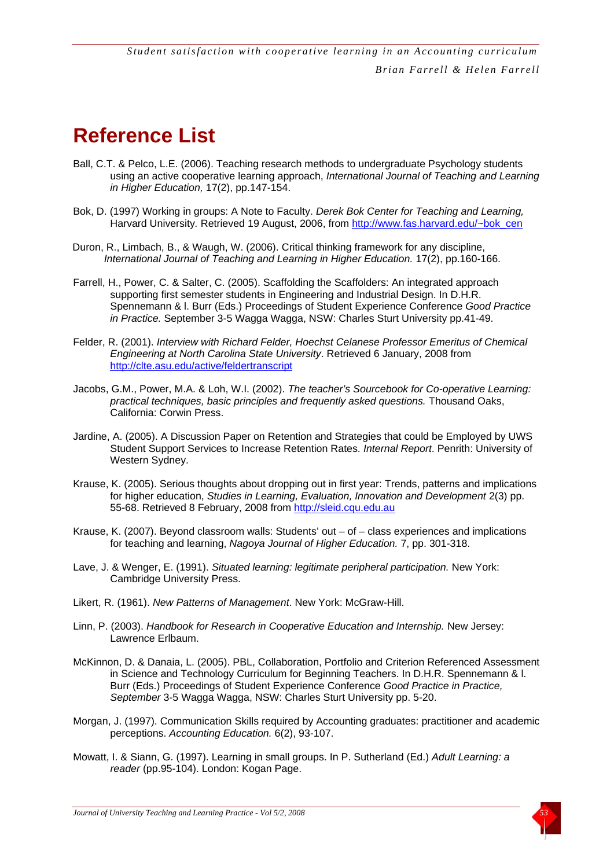### **Reference List**

- Ball, C.T. & Pelco, L.E. (2006). Teaching research methods to undergraduate Psychology students using an active cooperative learning approach, *International Journal of Teaching and Learning in Higher Education,* 17(2), pp.147-154.
- Bok, D. (1997) Working in groups: A Note to Faculty. *Derek Bok Center for Teaching and Learning,*  Harvard University*.* Retrieved 19 August, 2006, from [http://www.fas.harvard.edu/~bok\\_cen](http://www.fas.harvard.edu/%7Ebok_cen)
- Duron, R., Limbach, B., & Waugh, W. (2006). Critical thinking framework for any discipline, *International Journal of Teaching and Learning in Higher Education.* 17(2), pp.160-166.
- Farrell, H., Power, C. & Salter, C. (2005). Scaffolding the Scaffolders: An integrated approach supporting first semester students in Engineering and Industrial Design. In D.H.R. Spennemann & l. Burr (Eds.) Proceedings of Student Experience Conference *Good Practice in Practice.* September 3-5 Wagga Wagga, NSW: Charles Sturt University pp.41-49.
- Felder, R. (2001). *Interview with Richard Felder, Hoechst Celanese Professor Emeritus of Chemical Engineering at North Carolina State University*. Retrieved 6 January, 2008 from <http://clte.asu.edu/active/feldertranscript>
- Jacobs, G.M., Power, M.A. & Loh, W.I. (2002). *The teacher's Sourcebook for Co-operative Learning: practical techniques, basic principles and frequently asked questions.* Thousand Oaks, California: Corwin Press.
- Jardine, A. (2005). A Discussion Paper on Retention and Strategies that could be Employed by UWS Student Support Services to Increase Retention Rates. *Internal Report*. Penrith: University of Western Sydney.
- Krause, K. (2005). Serious thoughts about dropping out in first year: Trends, patterns and implications for higher education, *Studies in Learning, Evaluation, Innovation and Development* 2(3) pp. 55-68. Retrieved 8 February, 2008 from [http://sleid.cqu.edu.au](http://sleid.cqu.edu.au/)
- Krause, K. (2007). Beyond classroom walls: Students' out  $-$  of  $-$  class experiences and implications for teaching and learning, *Nagoya Journal of Higher Education.* 7, pp. 301-318.
- Lave, J. & Wenger, E. (1991). *Situated learning: legitimate peripheral participation.* New York: Cambridge University Press.
- Likert, R. (1961). *New Patterns of Management*. New York: McGraw-Hill.
- Linn, P. (2003). *Handbook for Research in Cooperative Education and Internship.* New Jersey: Lawrence Erlbaum.
- McKinnon, D. & Danaia, L. (2005). PBL, Collaboration, Portfolio and Criterion Referenced Assessment in Science and Technology Curriculum for Beginning Teachers. In D.H.R. Spennemann & l. Burr (Eds.) Proceedings of Student Experience Conference *Good Practice in Practice, September* 3-5 Wagga Wagga, NSW: Charles Sturt University pp. 5-20.
- Morgan, J. (1997). Communication Skills required by Accounting graduates: practitioner and academic perceptions. *Accounting Education.* 6(2), 93-107.
- Mowatt, I. & Siann, G. (1997). Learning in small groups. In P. Sutherland (Ed.) *Adult Learning: a reader* (pp.95-104). London: Kogan Page.